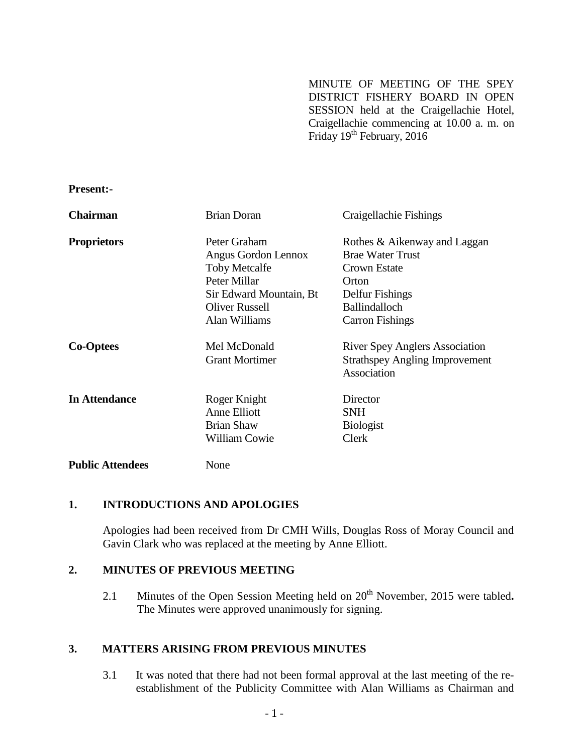MINUTE OF MEETING OF THE SPEY DISTRICT FISHERY BOARD IN OPEN SESSION held at the Craigellachie Hotel, Craigellachie commencing at 10.00 a. m. on Friday  $19^{th}$  February,  $2016$ 

**Present:-**

| <b>Chairman</b>         | Brian Doran             | Craigellachie Fishings                               |
|-------------------------|-------------------------|------------------------------------------------------|
| <b>Proprietors</b>      | Peter Graham            | Rothes & Aikenway and Laggan                         |
|                         | Angus Gordon Lennox     | <b>Brae Water Trust</b>                              |
|                         | <b>Toby Metcalfe</b>    | Crown Estate                                         |
|                         | Peter Millar            | Orton                                                |
|                         | Sir Edward Mountain, Bt | Delfur Fishings                                      |
|                         | <b>Oliver Russell</b>   | <b>Ballindalloch</b>                                 |
|                         | Alan Williams           | <b>Carron Fishings</b>                               |
| <b>Co-Optees</b>        | Mel McDonald            | <b>River Spey Anglers Association</b>                |
|                         | <b>Grant Mortimer</b>   | <b>Strathspey Angling Improvement</b><br>Association |
| <b>In Attendance</b>    | Roger Knight            | Director                                             |
|                         | Anne Elliott            | <b>SNH</b>                                           |
|                         | <b>Brian Shaw</b>       | <b>Biologist</b>                                     |
|                         | <b>William Cowie</b>    | Clerk                                                |
| <b>Public Attendees</b> | None                    |                                                      |

### **1. INTRODUCTIONS AND APOLOGIES**

Apologies had been received from Dr CMH Wills, Douglas Ross of Moray Council and Gavin Clark who was replaced at the meeting by Anne Elliott.

### **2. MINUTES OF PREVIOUS MEETING**

2.1 Minutes of the Open Session Meeting held on 20<sup>th</sup> November, 2015 were tabled. The Minutes were approved unanimously for signing.

# **3. MATTERS ARISING FROM PREVIOUS MINUTES**

3.1 It was noted that there had not been formal approval at the last meeting of the reestablishment of the Publicity Committee with Alan Williams as Chairman and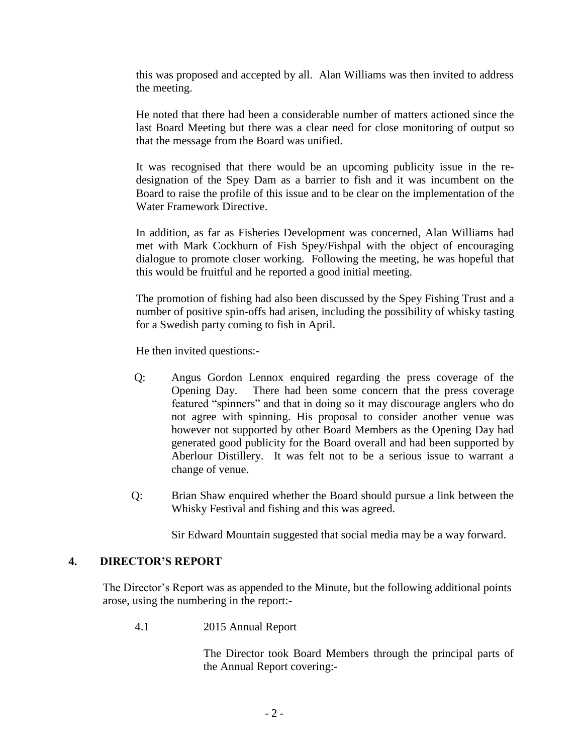this was proposed and accepted by all. Alan Williams was then invited to address the meeting.

He noted that there had been a considerable number of matters actioned since the last Board Meeting but there was a clear need for close monitoring of output so that the message from the Board was unified.

It was recognised that there would be an upcoming publicity issue in the redesignation of the Spey Dam as a barrier to fish and it was incumbent on the Board to raise the profile of this issue and to be clear on the implementation of the Water Framework Directive.

In addition, as far as Fisheries Development was concerned, Alan Williams had met with Mark Cockburn of Fish Spey/Fishpal with the object of encouraging dialogue to promote closer working. Following the meeting, he was hopeful that this would be fruitful and he reported a good initial meeting.

The promotion of fishing had also been discussed by the Spey Fishing Trust and a number of positive spin-offs had arisen, including the possibility of whisky tasting for a Swedish party coming to fish in April.

He then invited questions:-

- Q: Angus Gordon Lennox enquired regarding the press coverage of the Opening Day. There had been some concern that the press coverage featured "spinners" and that in doing so it may discourage anglers who do not agree with spinning. His proposal to consider another venue was however not supported by other Board Members as the Opening Day had generated good publicity for the Board overall and had been supported by Aberlour Distillery. It was felt not to be a serious issue to warrant a change of venue.
- Q: Brian Shaw enquired whether the Board should pursue a link between the Whisky Festival and fishing and this was agreed.

Sir Edward Mountain suggested that social media may be a way forward.

# **4. DIRECTOR'S REPORT**

The Director's Report was as appended to the Minute, but the following additional points arose, using the numbering in the report:-

4.1 2015 Annual Report

The Director took Board Members through the principal parts of the Annual Report covering:-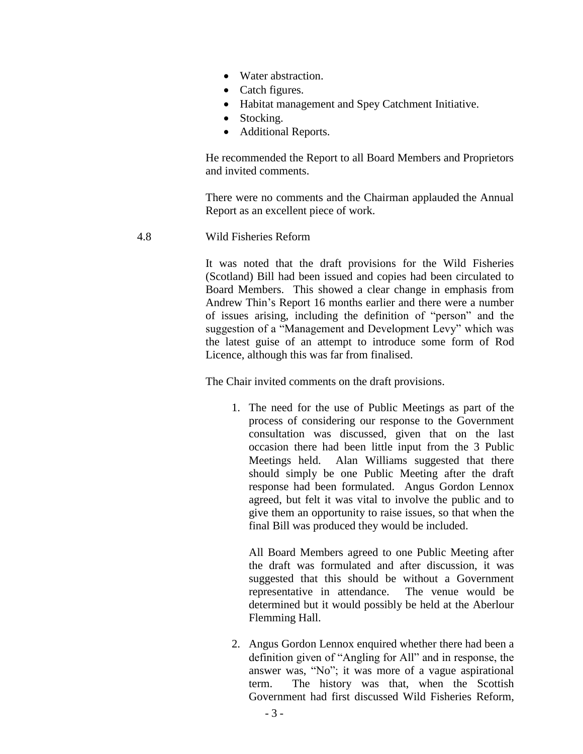- Water abstraction.
- Catch figures.
- Habitat management and Spey Catchment Initiative.
- Stocking.
- Additional Reports.

He recommended the Report to all Board Members and Proprietors and invited comments.

There were no comments and the Chairman applauded the Annual Report as an excellent piece of work.

4.8 Wild Fisheries Reform

It was noted that the draft provisions for the Wild Fisheries (Scotland) Bill had been issued and copies had been circulated to Board Members. This showed a clear change in emphasis from Andrew Thin's Report 16 months earlier and there were a number of issues arising, including the definition of "person" and the suggestion of a "Management and Development Levy" which was the latest guise of an attempt to introduce some form of Rod Licence, although this was far from finalised.

The Chair invited comments on the draft provisions.

1. The need for the use of Public Meetings as part of the process of considering our response to the Government consultation was discussed, given that on the last occasion there had been little input from the 3 Public Meetings held. Alan Williams suggested that there should simply be one Public Meeting after the draft response had been formulated. Angus Gordon Lennox agreed, but felt it was vital to involve the public and to give them an opportunity to raise issues, so that when the final Bill was produced they would be included.

All Board Members agreed to one Public Meeting after the draft was formulated and after discussion, it was suggested that this should be without a Government representative in attendance. The venue would be determined but it would possibly be held at the Aberlour Flemming Hall.

2. Angus Gordon Lennox enquired whether there had been a definition given of "Angling for All" and in response, the answer was, "No"; it was more of a vague aspirational term. The history was that, when the Scottish Government had first discussed Wild Fisheries Reform,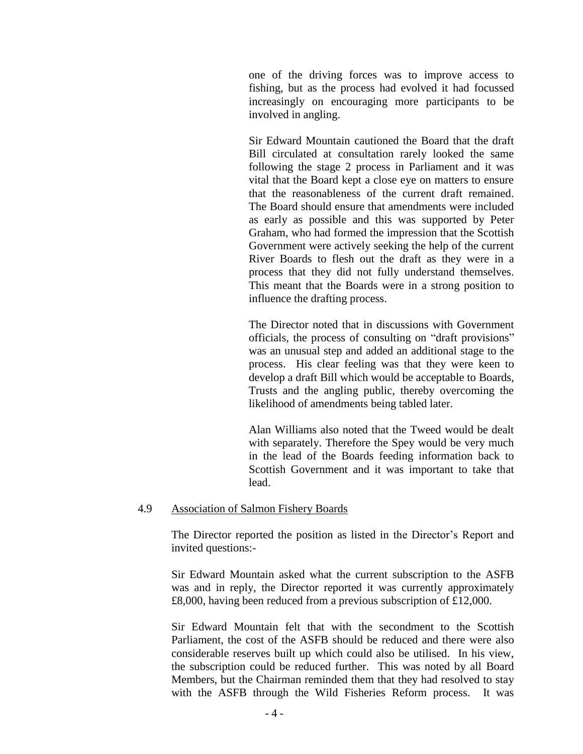one of the driving forces was to improve access to fishing, but as the process had evolved it had focussed increasingly on encouraging more participants to be involved in angling.

Sir Edward Mountain cautioned the Board that the draft Bill circulated at consultation rarely looked the same following the stage 2 process in Parliament and it was vital that the Board kept a close eye on matters to ensure that the reasonableness of the current draft remained. The Board should ensure that amendments were included as early as possible and this was supported by Peter Graham, who had formed the impression that the Scottish Government were actively seeking the help of the current River Boards to flesh out the draft as they were in a process that they did not fully understand themselves. This meant that the Boards were in a strong position to influence the drafting process.

The Director noted that in discussions with Government officials, the process of consulting on "draft provisions" was an unusual step and added an additional stage to the process. His clear feeling was that they were keen to develop a draft Bill which would be acceptable to Boards, Trusts and the angling public, thereby overcoming the likelihood of amendments being tabled later.

Alan Williams also noted that the Tweed would be dealt with separately. Therefore the Spey would be very much in the lead of the Boards feeding information back to Scottish Government and it was important to take that lead.

#### 4.9 Association of Salmon Fishery Boards

The Director reported the position as listed in the Director's Report and invited questions:-

Sir Edward Mountain asked what the current subscription to the ASFB was and in reply, the Director reported it was currently approximately £8,000, having been reduced from a previous subscription of £12,000.

Sir Edward Mountain felt that with the secondment to the Scottish Parliament, the cost of the ASFB should be reduced and there were also considerable reserves built up which could also be utilised. In his view, the subscription could be reduced further. This was noted by all Board Members, but the Chairman reminded them that they had resolved to stay with the ASFB through the Wild Fisheries Reform process. It was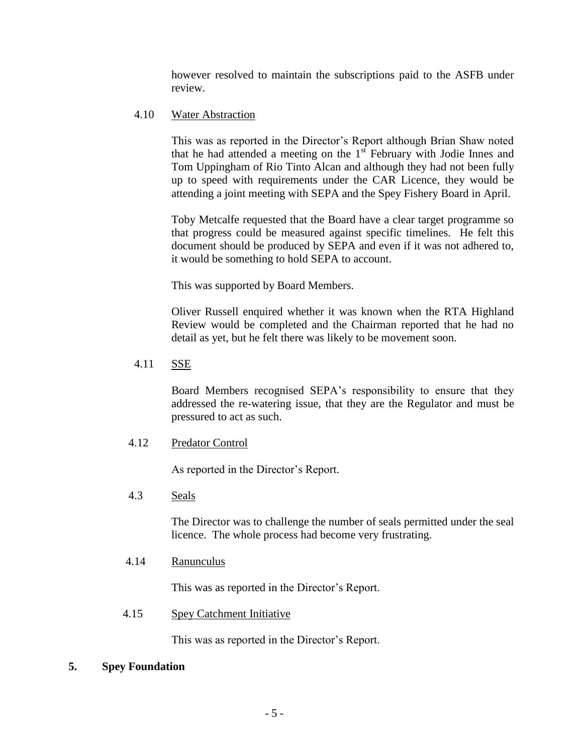however resolved to maintain the subscriptions paid to the ASFB under review.

## 4.10 Water Abstraction

This was as reported in the Director's Report although Brian Shaw noted that he had attended a meeting on the  $1<sup>st</sup>$  February with Jodie Innes and Tom Uppingham of Rio Tinto Alcan and although they had not been fully up to speed with requirements under the CAR Licence, they would be attending a joint meeting with SEPA and the Spey Fishery Board in April.

Toby Metcalfe requested that the Board have a clear target programme so that progress could be measured against specific timelines. He felt this document should be produced by SEPA and even if it was not adhered to, it would be something to hold SEPA to account.

This was supported by Board Members.

Oliver Russell enquired whether it was known when the RTA Highland Review would be completed and the Chairman reported that he had no detail as yet, but he felt there was likely to be movement soon.

4.11 SSE

Board Members recognised SEPA's responsibility to ensure that they addressed the re-watering issue, that they are the Regulator and must be pressured to act as such.

4.12 Predator Control

As reported in the Director's Report.

### 4.3 Seals

The Director was to challenge the number of seals permitted under the seal licence. The whole process had become very frustrating.

4.14 Ranunculus

This was as reported in the Director's Report.

4.15 Spey Catchment Initiative

This was as reported in the Director's Report.

### **5. Spey Foundation**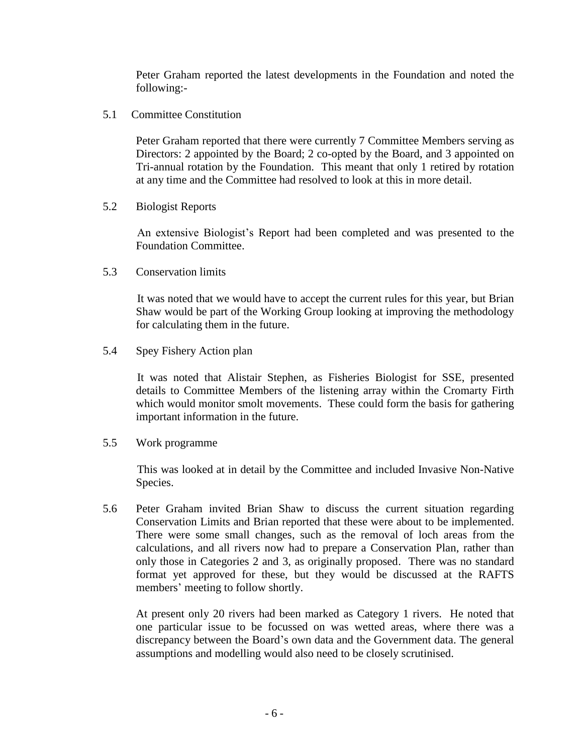Peter Graham reported the latest developments in the Foundation and noted the following:-

5.1 Committee Constitution

Peter Graham reported that there were currently 7 Committee Members serving as Directors: 2 appointed by the Board; 2 co-opted by the Board, and 3 appointed on Tri-annual rotation by the Foundation. This meant that only 1 retired by rotation at any time and the Committee had resolved to look at this in more detail.

5.2 Biologist Reports

An extensive Biologist's Report had been completed and was presented to the Foundation Committee.

5.3 Conservation limits

It was noted that we would have to accept the current rules for this year, but Brian Shaw would be part of the Working Group looking at improving the methodology for calculating them in the future.

5.4 Spey Fishery Action plan

It was noted that Alistair Stephen, as Fisheries Biologist for SSE, presented details to Committee Members of the listening array within the Cromarty Firth which would monitor smolt movements. These could form the basis for gathering important information in the future.

5.5 Work programme

This was looked at in detail by the Committee and included Invasive Non-Native Species.

5.6 Peter Graham invited Brian Shaw to discuss the current situation regarding Conservation Limits and Brian reported that these were about to be implemented. There were some small changes, such as the removal of loch areas from the calculations, and all rivers now had to prepare a Conservation Plan, rather than only those in Categories 2 and 3, as originally proposed. There was no standard format yet approved for these, but they would be discussed at the RAFTS members' meeting to follow shortly.

At present only 20 rivers had been marked as Category 1 rivers. He noted that one particular issue to be focussed on was wetted areas, where there was a discrepancy between the Board's own data and the Government data. The general assumptions and modelling would also need to be closely scrutinised.